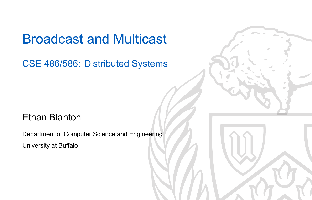## Broadcast and Multicast

CSE 486/586: Distributed Systems

### Ethan Blanton

Department of Computer Science and Engineering University at Buffalo

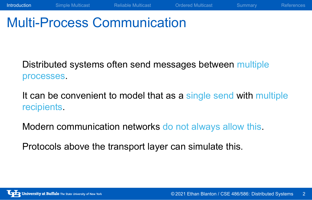## Multi-Process Communication

Distributed systems often send messages between multiple processes.

It can be convenient to model that as a single send with multiple recipients.

**Introduction** Simple Multicast Reliable Multicast Ordered Multicast Summary References

Modern communication networks do not always allow this.

Protocols above the transport layer can simulate this.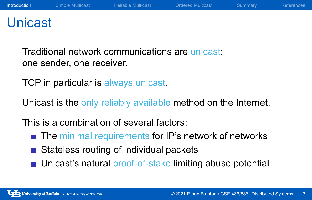## Unicast

Traditional network communications are unicast: one sender, one receiver.

TCP in particular is always unicast.

Unicast is the only reliably available method on the Internet.

This is a combination of several factors:

- The minimal requirements for IP's network of networks
- Stateless routing of individual packets
- Unicast's natural proof-of-stake limiting abuse potential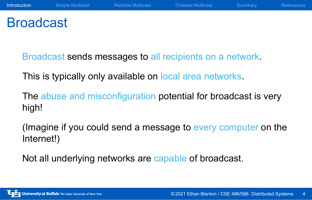## Broadcast

Broadcast sends messages to all recipients on a network.

This is typically only available on local area networks.

The abuse and misconfiguration potential for broadcast is very high!

(Imagine if you could send a message to every computer on the Internet!)

Not all underlying networks are capable of broadcast.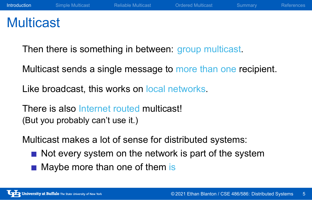## **Multicast**

Then there is something in between: group multicast.

Multicast sends a single message to more than one recipient.

Like broadcast, this works on local networks.

There is also Internet routed multicast! (But you probably can't use it.)

Multicast makes a lot of sense for distributed systems:

- $\blacksquare$  Not every system on the network is part of the system
- Maybe more than one of them is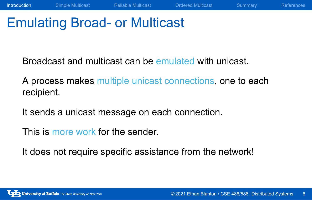## Emulating Broad- or Multicast

Broadcast and multicast can be emulated with unicast.

A process makes multiple unicast connections, one to each recipient.

**Introduction** Simple Multicast Reliable Multicast Ordered Multicast Summary References

It sends a unicast message on each connection.

This is more work for the sender.

It does not require specific assistance from the network!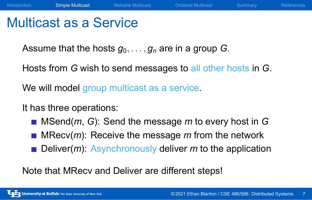## Multicast as a Service

Assume that the hosts  $g_0, \ldots, g_n$  are in a group *G*.

Hosts from *G* wish to send messages to all other hosts in *G*.

We will model group multicast as a service.

It has three operations:

- MSend(*m*, *G*): Send the message *m* to every host in *G*
- **MRecv(m): Receive the message** *m* **from the network**
- **Deliver(m):** Asynchronously deliver *m* to the application

Note that MRecv and Deliver are different steps!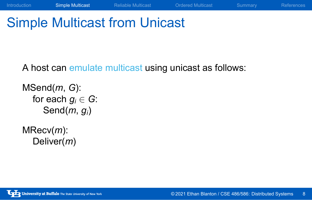# Simple Multicast from Unicast

A host can emulate multicast using unicast as follows:

Introduction **Simple Multicast** Reliable Multicast Ordered Multicast Summary References

MSend(*m*, *G*): for each  $g_i \in G$ : Send(*m*, *gi*)

MRecv(*m*): Deliver(*m*)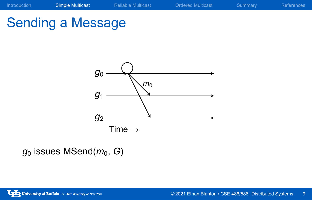



 $g_0$  issues MSend( $m_0$ , G)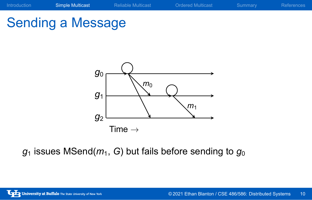



 $g_1$  issues MSend( $m_1$ , *G*) but fails before sending to  $g_0$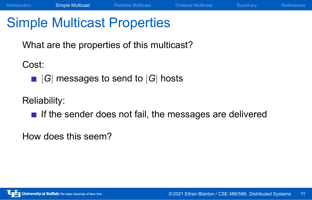# Simple Multicast Properties

What are the properties of this multicast?

Cost:

*|G|* messages to send to *|G|* hosts

Reliability:

 $\blacksquare$  If the sender does not fail, the messages are delivered

Introduction Simple Multicast Reliable Multicast Ordered Multicast Summary References

How does this seem?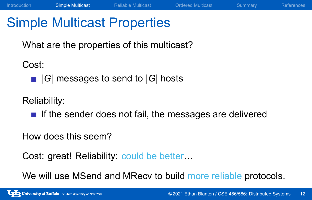## Simple Multicast Properties

What are the properties of this multicast?

Cost:

*|G|* messages to send to *|G|* hosts

Reliability:

 $\blacksquare$  If the sender does not fail, the messages are delivered

Introduction Simple Multicast Reliable Multicast Ordered Multicast Summary References

How does this seem?

Cost: great! Reliability: could be better...

We will use MSend and MRecv to build more reliable protocols.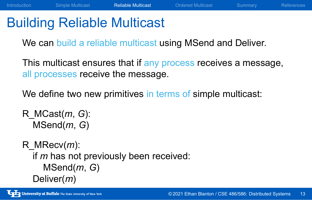## Building Reliable Multicast

We can build a reliable multicast using MSend and Deliver.

This multicast ensures that if any process receives a message, all processes receive the message.

We define two new primitives in terms of simple multicast:

R\_MCast(*m*, *G*): MSend(*m*, *G*)

R\_MRecv(*m*): if *m* has not previously been received: MSend(*m*, *G*) Deliver(*m*)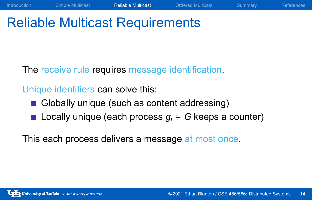# Reliable Multicast Requirements

The receive rule requires message identification.

Unique identifiers can solve this:

- Globally unique (such as content addressing)
- Locally unique (each process  $g_i \in G$  keeps a counter)

Introduction Simple Multicast Reliable Multicast Ordered Multicast Summary References

This each process delivers a message at most once.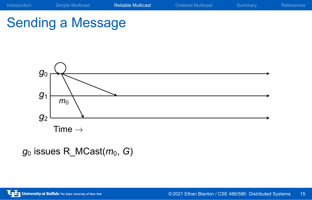# Sending a Message



 $g_0$  issues R\_MCast( $m_0$ , G)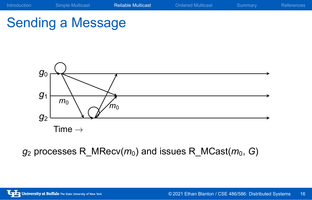# Sending a Message



*g*<sup>2</sup> processes R\_MRecv(*m*0) and issues R\_MCast(*m*0, *G*)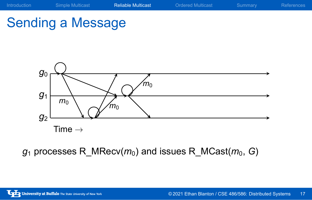# Sending a Message



*g*<sup>1</sup> processes R\_MRecv(*m*0) and issues R\_MCast(*m*0, *G*)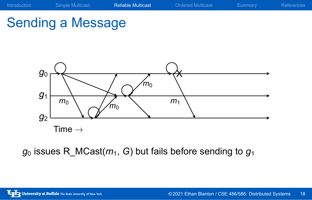

*g*<sup>0</sup> issues R\_MCast(*m*1, *G*) but fails before sending to *g*<sup>1</sup>

Sending a Message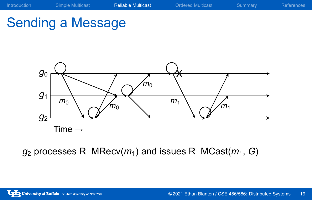

*g*<sup>2</sup> processes R\_MRecv(*m*1) and issues R\_MCast(*m*1, *G*)

Sending a Message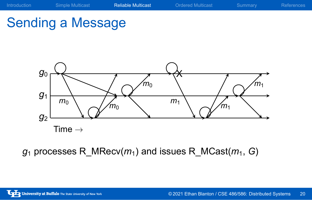

*g*<sup>1</sup> processes R\_MRecv(*m*1) and issues R\_MCast(*m*1, *G*)

Sending a Message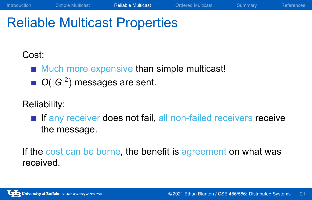## Reliable Multicast Properties

### Cost:

- **Much more expensive than simple multicast!**
- *O*(*|G|* 2 ) messages are sent.

### Reliability:

**If any receiver does not fail, all non-failed receivers receive** the message.

Introduction Simple Multicast Reliable Multicast Ordered Multicast Summary References

If the cost can be borne, the benefit is agreement on what was received.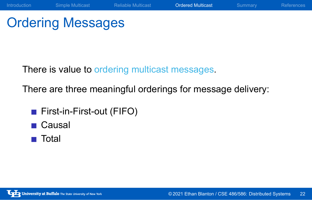# Ordering Messages

There is value to ordering multicast messages.

There are three meaningful orderings for message delivery:

- **First-in-First-out (FIFO)**
- **■** Causal
- Total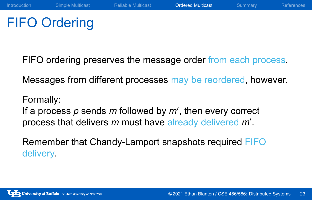# FIFO Ordering

FIFO ordering preserves the message order from each process.

Messages from different processes may be reordered, however.

Formally:

If a process *p* sends *m* followed by *m′* , then every correct process that delivers *m* must have already delivered *m′* .

Remember that Chandy-Lamport snapshots required FIFO delivery.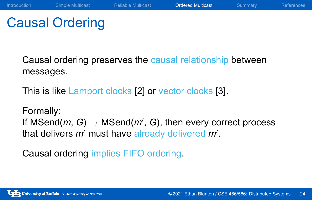## Causal Ordering

Causal ordering preserves the causal relationship between messages.

This is like Lamport clocks [2] or vector clocks [3].

Formally:

If MSend(*m*, *G*) *→* MSend(*m′* , *G*), then every correct process that delivers *m′* must have already delivered *m′* .

Causal ordering implies FIFO ordering.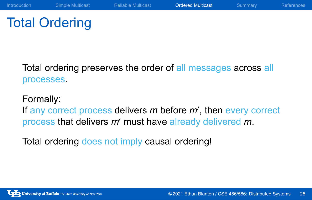# Total Ordering

Total ordering preserves the order of all messages across all processes.

### Formally:

If any correct process delivers *m* before *m′* , then every correct process that delivers *m′* must have already delivered *m*.

Total ordering does not imply causal ordering!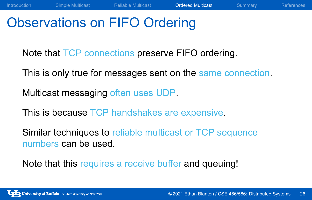# Observations on FIFO Ordering

Note that TCP connections preserve FIFO ordering.

This is only true for messages sent on the same connection.

Introduction Simple Multicast Reliable Multicast Ordered Multicast Summary References

Multicast messaging often uses UDP.

This is because TCP handshakes are expensive.

Similar techniques to reliable multicast or TCP sequence numbers can be used.

Note that this requires a receive buffer and queuing!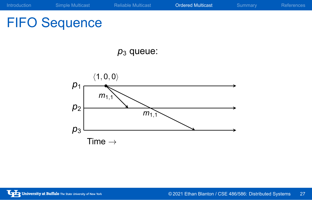*p*<sup>3</sup> queue:

 $\sum_{1,1}$ 

# FIFO Sequence

*p*1

*⟨*1*,* 0*,* 0*⟩*

 $m_{1,1}$ 

Time *→*

*p*2

*p*3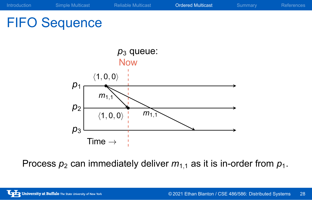# FIFO Sequence



Process  $p_2$  can immediately deliver  $m_{1,1}$  as it is in-order from  $p_1$ .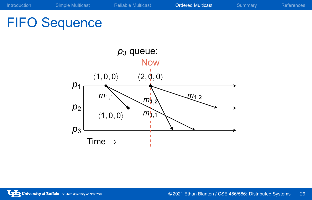# FIFO Sequence

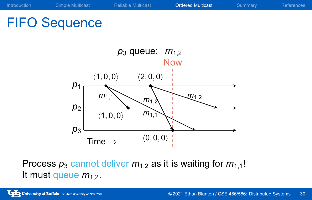# FIFO Sequence



Process  $p_3$  cannot deliver  $m_{1,2}$  as it is waiting for  $m_{1,1}!$ It must queue  $m_{1,2}$ .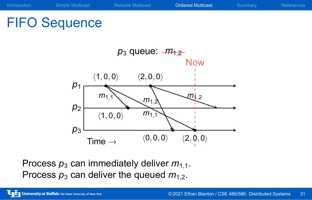# FIFO Sequence



Process  $p_3$  can immediately deliver  $m_{1,1}$ . Process  $p_3$  can deliver the queued  $m_{1,2}$ .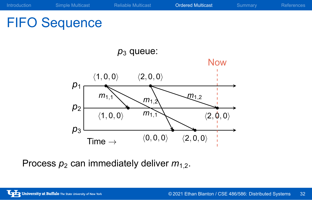# FIFO Sequence



Process  $p_2$  can immediately deliver  $m_{1,2}$ .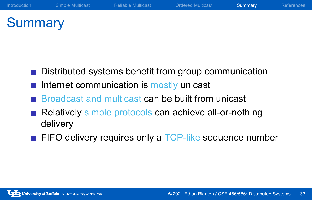# **Summary**

- Distributed systems benefit from group communication
- $\blacksquare$  Internet communication is mostly unicast
- **Broadcast and multicast can be built from unicast**
- Relatively simple protocols can achieve all-or-nothing delivery
- FIFO delivery requires only a TCP-like sequence number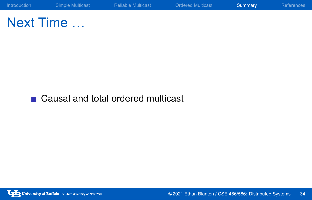

Next Time …

■ Causal and total ordered multicast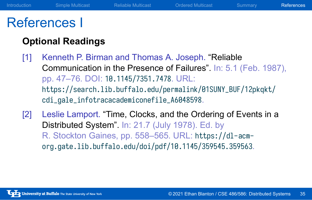### References I

### **Optional Readings**

- [1] Kenneth P. Birman and Thomas A. Joseph. "Reliable Communication in the Presence of Failures". In: 5.1 (Feb. 1987), pp. 47–76. DOI: 10.1145/7351.7478. URL: https://search.lib.buffalo.edu/permalink/01SUNY\_BUF/12pkqkt/ cdi\_gale\_infotracacademiconefile\_A6048598.
- [2] Leslie Lamport. "Time, Clocks, and the Ordering of Events in a Distributed System". In: 21.7 (July 1978). Ed. by R. Stockton Gaines, pp. 558–565. URL: https://dl-acmorg.gate.lib.buffalo.edu/doi/pdf/10.1145/359545.359563.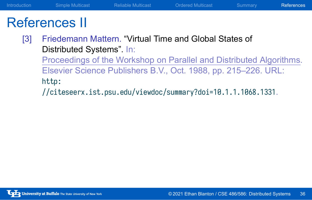# References II

[3] Friedemann Mattern. "Virtual Time and Global States of Distributed Systems". In: Proceedings of the Workshop on Parallel and Distributed Algorithms. Elsevier Science Publishers B.V., Oct. 1988, pp. 215–226. URL: http: //citeseerx.ist.psu.edu/viewdoc/summary?doi=10.1.1.1068.1331.

Introduction Simple Multicast Reliable Multicast Ordered Multicast Summary References